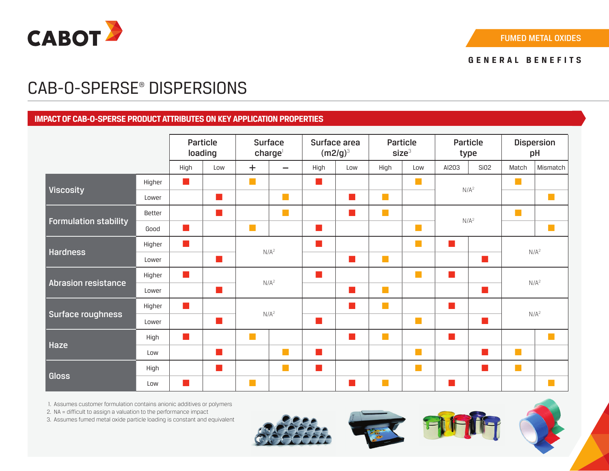

# CAB-O-SPERSE® DISPERSIONS

## **IMPACT OF CAB-O-SPERSE PRODUCT ATTRIBUTES ON KEY APPLICATION PROPERTIES**

|                              |        | <b>Particle</b><br>loading  |                            | <b>Surface</b><br>charge    |                             | Surface area<br>$(m2/g)^3$ |                             | Particle<br>size <sup>3</sup> |                             | Particle<br>type         |                          | <b>Dispersion</b><br>pH             |                             |
|------------------------------|--------|-----------------------------|----------------------------|-----------------------------|-----------------------------|----------------------------|-----------------------------|-------------------------------|-----------------------------|--------------------------|--------------------------|-------------------------------------|-----------------------------|
|                              |        | High                        | Low                        | $\pm$                       | $\equiv$                    | High                       | Low                         | High                          | Low                         | AI203                    | Si02                     | Match                               | Mismatch                    |
| <b>Viscosity</b>             | Higher | $\mathcal{L}_{\mathcal{A}}$ |                            | $\mathbb{R}^n$              |                             | ×.                         |                             |                               | <b>The State</b>            | $N/A^2$                  |                          | n a                                 |                             |
|                              | Lower  |                             | $\mathbb{R}^n$             |                             | m,                          |                            | $\overline{\mathbb{R}^n}$   | $\mathbb{R}^n$                |                             |                          |                          |                                     | $\mathcal{C}^{\mathcal{A}}$ |
| <b>Formulation stability</b> | Better |                             | $\mathcal{L}(\mathcal{A})$ |                             | $\mathbb{R}^n$              |                            | $\overline{\mathbb{R}^n}$   | $\mathbb{R}^n$                |                             | $N/A^2$                  |                          | n a                                 |                             |
|                              | Good   | M.                          |                            | $\mathbb{R}^n$              |                             |                            |                             |                               | $\mathbb{R}^n$              |                          |                          |                                     | $\mathbb{R}^n$              |
| <b>Hardness</b>              | Higher | $\mathcal{L}^{\mathcal{L}}$ |                            | $N/A^2$                     |                             |                            |                             |                               | <b>The State</b>            | $\overline{\mathcal{A}}$ |                          | $N/A^2$<br>$\overline{\phantom{a}}$ |                             |
|                              | Lower  |                             | m.                         |                             |                             |                            | $\overline{\mathbb{R}^n}$   | $\mathbb{R}^n$                |                             |                          |                          |                                     |                             |
| <b>Abrasion resistance</b>   | Higher | $\mathbb{R}^n$              |                            | $N/A^2$                     |                             |                            |                             |                               | <b>Tara</b>                 | $\mathbb{R}^n$           |                          | N/A <sup>2</sup>                    |                             |
|                              | Lower  |                             | $\overline{\mathbb{R}^2}$  |                             |                             |                            | $\mathcal{L}_{\mathcal{A}}$ | $\Box$                        |                             |                          | <b>Tale</b>              |                                     |                             |
| Surface roughness            | Higher | $\mathcal{L}^{\mathcal{L}}$ |                            | $N/A^2$                     |                             |                            | $\mathcal{C}^{\mathcal{A}}$ | $\mathcal{C}^{\mathcal{A}}$   |                             | П                        |                          | N/A <sup>2</sup>                    |                             |
|                              | Lower  |                             | ш                          |                             |                             |                            |                             |                               | $\Box$                      |                          | $\overline{\phantom{a}}$ |                                     |                             |
| Haze                         | High   | <b>COL</b>                  |                            | $\mathcal{C}^{\mathcal{A}}$ |                             |                            | $\overline{\mathbb{R}^2}$   | $\mathcal{C}^{\mathcal{A}}$   |                             |                          |                          |                                     | $\mathbb{R}^n$              |
|                              | Low    |                             |                            |                             | $\mathcal{L}^{\mathcal{L}}$ |                            |                             |                               | $\mathcal{L}_{\mathcal{A}}$ |                          | $\mathbb{R}^n$           |                                     |                             |
| <b>Gloss</b>                 | High   |                             | $\overline{\mathbb{R}^n}$  |                             | $\mathbb{R}^n$              | ×.                         |                             |                               | $\mathbb{R}^n$              |                          | $\Box$                   | $\mathcal{C}^{\mathcal{A}}$         |                             |
|                              | Low    | ×                           |                            | $\mathbb{R}^n$              |                             |                            | n.                          | T.                            |                             |                          |                          |                                     | $\mathcal{C}^{\mathcal{A}}$ |

1. Assumes customer formulation contains anionic additives or polymers

2. NA = difficult to assign a valuation to the performance impact

3. Assumes fumed metal oxide particle loading is constant and equivalent